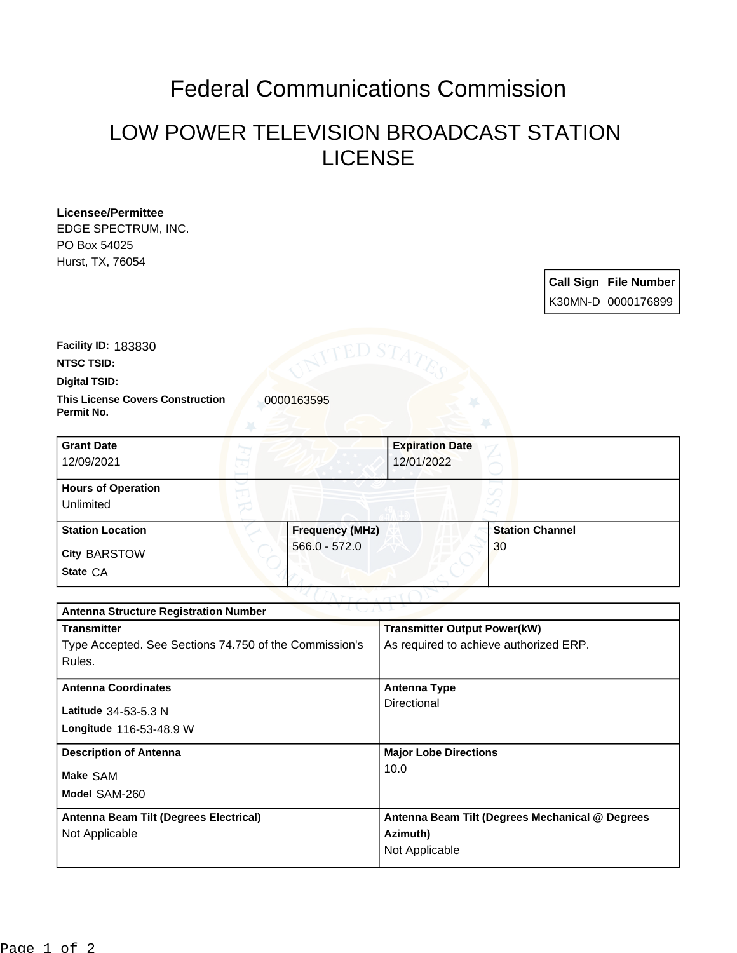## Federal Communications Commission

## LOW POWER TELEVISION BROADCAST STATION LICENSE

**Licensee/Permittee** EDGE SPECTRUM, INC. PO Box 54025 Hurst, TX, 76054

> **Call Sign File Number** K30MN-D 0000176899

**Facility ID:** 183830

**NTSC TSID:**

**Digital TSID:**

**This License Covers Construction 10000163595 Permit No.**

| <b>Grant Date</b><br>12/09/2021        | <b>Expiration Date</b><br>12/01/2022 |                        |
|----------------------------------------|--------------------------------------|------------------------|
| <b>Hours of Operation</b><br>Unlimited |                                      |                        |
| <b>Station Location</b>                | <b>Frequency (MHz)</b>               | <b>Station Channel</b> |
| <b>City BARSTOW</b><br>State CA        | $566.0 - 572.0$                      | 30                     |

| $\sim$ v $\perp$ ( $\perp$ $\sim$ $\perp$ $\perp$ $\sim$<br><b>Antenna Structure Registration Number</b> |                                                 |  |  |
|----------------------------------------------------------------------------------------------------------|-------------------------------------------------|--|--|
| <b>Transmitter</b>                                                                                       | <b>Transmitter Output Power(kW)</b>             |  |  |
| Type Accepted. See Sections 74.750 of the Commission's                                                   | As required to achieve authorized ERP.          |  |  |
| Rules.                                                                                                   |                                                 |  |  |
| <b>Antenna Coordinates</b>                                                                               | <b>Antenna Type</b>                             |  |  |
|                                                                                                          | Directional                                     |  |  |
| Latitude 34-53-5.3 N                                                                                     |                                                 |  |  |
| <b>Longitude 116-53-48.9 W</b>                                                                           |                                                 |  |  |
| <b>Description of Antenna</b>                                                                            | <b>Major Lobe Directions</b>                    |  |  |
| Make SAM                                                                                                 | 10.0                                            |  |  |
|                                                                                                          |                                                 |  |  |
| Model SAM-260                                                                                            |                                                 |  |  |
| Antenna Beam Tilt (Degrees Electrical)                                                                   | Antenna Beam Tilt (Degrees Mechanical @ Degrees |  |  |
| Not Applicable                                                                                           | Azimuth)                                        |  |  |
|                                                                                                          | Not Applicable                                  |  |  |
|                                                                                                          |                                                 |  |  |